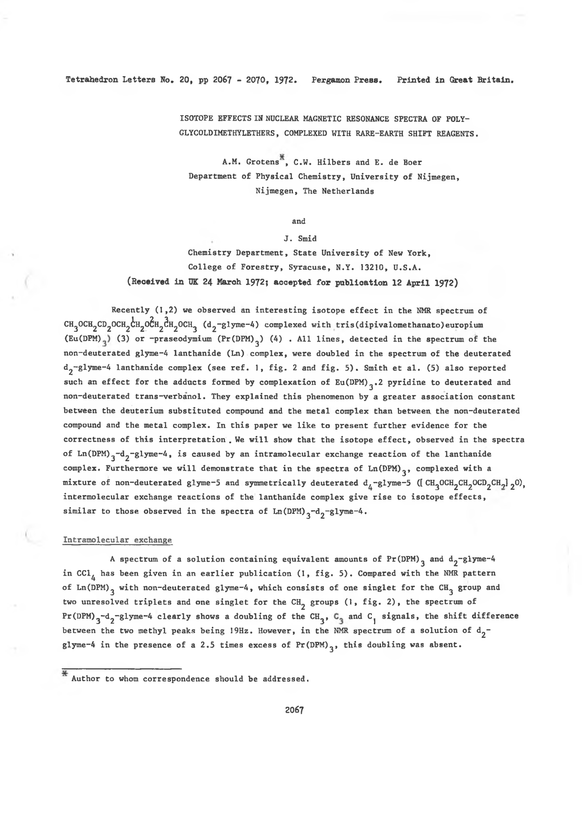## Tetrahedron Letters No. 20, pp 2067 - 2070, 1972. Pergamon Press. Printed in Great Britaln.

ISOTOPE EFFECTS IN NUCLEAR MAGNETIC RESONANCE SPECTRA OF POLY-GLYCOLDIMETHYLETHERS, COMPLEXED WITH RARE-EARTH SHIFT REAGENTS.

A.M. Grotens<sup>X</sup>, C.W. Hilbers and E. de Boer Department of Physical Chemistry, University of Nijmegen, Nijmegen, The Netherlands

and

#### J. Smid

Chemistry Department, State University of New York, College of Forestry, Syracuse, N.Y. 13210, U.S.A. (Received in UK 24 March 1972; accepted for publication 12 April 1972)

Recently (1,2) we observed an interesting isotope effect in the NMR spectrum of CH<sub>3</sub>OCH<sub>2</sub>CD<sub>2</sub>OCH<sub>2</sub>CH<sub>2</sub>OCH<sub>2</sub>CH<sub>2</sub>OCH<sub>3</sub> (d<sub>2</sub>-glyme-4) complexed with tris (dipivalomethanato) europium (Eu(DPM)<sub>3</sub>) (3) or -praseodymium (Pr(DPM)<sub>3</sub>) (4) . All lines, detected in the spectrum of the non-deuterated glyme-4 lanthanide (Ln) complex, were doubled in the spectrum of the deuterated  $d_2$  -g lyme-4 lanthanide complex (see ref. 1, fig. 2 and fig. 5). Smith et al. (5) also reported such an effect for the adducts formed by complexation of  $Eu(DPM)$ <sub>3</sub>.2 pyridine to deuterated and non-deuterated trans-verbanol. They explained this phenomenon by a greater association constant between the deuterium substituted compound and the metal complex than between the non-deuterated compound and the metal complex. In this paper we like to present further evidence for the correctness of this interpretation. We will show that the isotope effect, observed in the spectra of Ln(DPM)<sub>3</sub>-d<sub>2</sub>-glyme-4, is caused by an intramolecular exchange reaction of the lanthanide complex. Furthermore we will demonstrate that in the spectra of  $Ln(DPM)$ <sub>3</sub>, complexed with a mixture of non-deuterated glyme-5 and symmetrically deuterated  $d_L$ -glyme-5 ([CH<sub>2</sub>OCH<sub>2</sub>CH<sub>2</sub>OCD<sub>2</sub>CH<sub>2</sub>] <sub>2</sub>0), intermolecular exchange reactions of the lanthanide complex give rise to isotope effects, similar to those observed in the spectra of  $Ln(DPM)$ <sub>3</sub>-d<sub>2</sub>-glyme-4.

### Intramolecular exchange

A spectrum of a solution containing equivalent amounts of  $Pr(DPM)$  and  $d_2$ -glyme-4 in CCl<sub>4</sub> has been given in an earlier publication (1, fig. 5). Compared with the NMR pattern of Ln (DPM)<sub>3</sub> with non-deuterated glyme-4, which consists of one singlet for the CH<sub>3</sub> group and two unresolved triplets and one singlet for the CH<sub>2</sub> groups (1, fig. 2), the spectrum of Pr (DPM)  $3-d$  -d<sub>2</sub>-glyme-4 clearly shows a doubling of the CH<sub>3</sub>, C<sub>3</sub> and C<sub>1</sub> signals, the shift difference between the two methyl peaks being 19Hz. However, in the NMR spectrum of a solution of  $d_2$ glyme-4 in the presence of a 2.5 times excess of Pr  $(DPM)$ <sub>3</sub>, this doubling was absent.

 $*$  Author to whom correspondence should be addressed.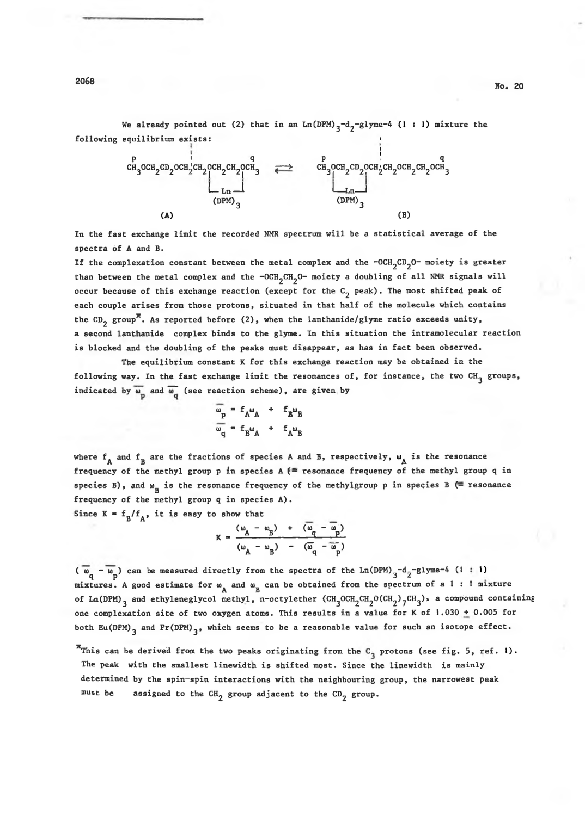We already pointed out (2) that in an Ln(DPM)<sub>3</sub>-d<sub>2</sub>-glyme-4 (1:1) mixture the following equilibrium exists:



In the fast exchange limit the recorded NMR spectrum will be a statistical average of the spectra of A and B.

If the complexation constant between the metal complex and the -OCH<sub>2</sub>CD<sub>2</sub>O- moiety is greater than between the metal complex and the -OCH<sub>2</sub>CH<sub>2</sub>O- moiety a doubling of all NMR signals will occur because of this exchange reaction (except for the  $C<sub>2</sub>$  peak). The most shifted peak of each couple arises from those protons, situated in that half of the molecule which contains the CD<sub>2</sub> group<sup>\*</sup>. As reported before (2), when the lanthanide/glyme ratio exceeds unity, a second lanthanide complex binds to the glyme. In this situation the intramolecular reaction is blocked and the doubling of the peaks must disappear, as has in fact been observed.

The equilibrium constant K for this exchange reaction may be obtained in the following way. In the fast exchange limit the resonances of, for instance, the two CH<sub>2</sub> groups, indicated by  $\overline{\omega}_D$  and  $\overline{\omega}_G$  (see reaction scheme), are given by

$$
\frac{\omega_p}{\omega_q} = f_A \omega_A + f_B \omega_B
$$
  

$$
\frac{\omega_q}{\omega_q} = f_B \omega_A + f_A \omega_B
$$

where  $f_{\mathbf{A}}$  and  $f_{\mathbf{B}}$  are the fractions of species A and B, respectively,  $\mathbf{w}_{\mathbf{A}}$  is the resonance frequency of the methyl group p in species A  $\ell$  resonance frequency of the methyl group q in species B), and  $\omega_{_{\text{\sc B}}}$  is the resonance frequency of the methylgroup p in species B (= resonance frequency of the methyl group **q** in species A).

Since  $K = f_n / f_{n,0}$  it is easy to show that

$$
K = \frac{(\omega_A - \omega_B) + (\overline{\omega}_q - \overline{\omega}_p)}{(\omega_A - \omega_B) - (\overline{\omega}_q - \overline{\omega}_p)}
$$

 $(\overline{\omega}_{q} - \overline{\omega}_{p})$  can be measured directly from the spectra of the Ln(DPM)<sub>3</sub>-d<sub>2</sub>-glyme-4 (1 : 1) mixtures. A good estimate for  $\omega_{\mathbf{A}}$  and  $\omega_{\mathbf{B}}$  can be obtained from the spectrum of a  $1$  : I mixture of Ln (DPM)<sub>3</sub> and ethy leneglycol methyl, n-octylether (CH<sub>3</sub>OCH<sub>2</sub>CH<sub>2</sub>O(CH<sub>2</sub>)<sub>7</sub>CH<sub>3</sub>), a compound containing one complexation site of two oxygen atoms. This results in a value for K of 1.030  $\pm$  0.005 for both Eu(DPM)<sub>3</sub> and Pr(DPM)<sub>3</sub>, which seems to be a reasonable value for such an isotope effect.

<sup>\*</sup>This can be derived from the two peaks originating from the  $C_q$  protons (see fig. 5, ref. 1). The peak with the smallest linewidth is shifted most. Since the linewidth is mainly determined by the spin-spin interactions with the neighbouring group, the narrowest peak must be assigned to the CH<sub>2</sub> group adjacent to the CD<sub>2</sub> group.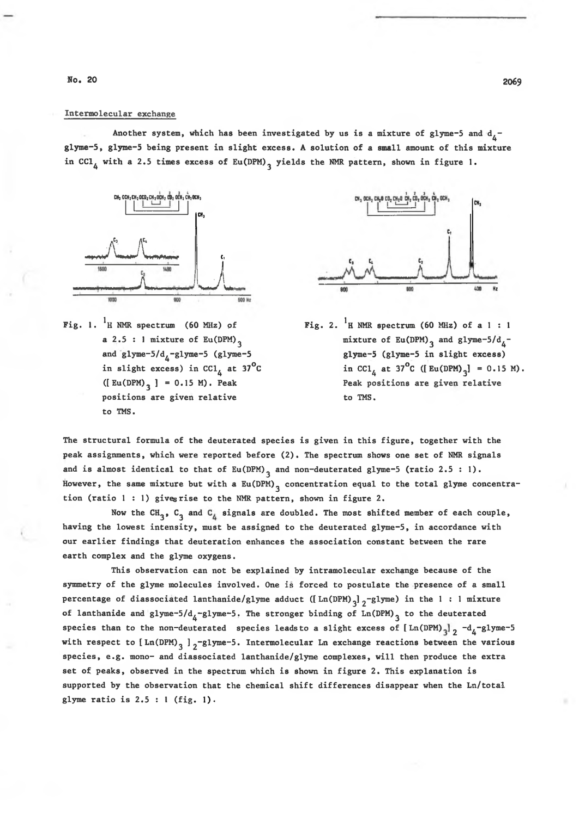No. 20 2069

### Intermolecular exchange

Another system, which has been investigated by us is a mixture of glyme-5 and  $d_{\lambda}$ glyme-5, glyme-5 being present in slight excess. A solution of a small amount of this mixture in CCl<sub>4</sub> with a 2.5 times excess of Eu(DPM)<sub>2</sub> yields the NMR pattern, shown in figure 1.



Fig. 1.  ${}^{1}$ H NMR spectrum (60 MHz) of a 2.5 : 1 mixture of  $Eu(DPM)$ <sub>3</sub> and glyme- $5/d$ <sub> $4$ </sub>-glyme-5 (glyme-5 in slight excess) in CCl<sub> $<sub>A</sub>$  at 37<sup>°</sup>C</sub></sub>  $([ Eu(DPM)_{3}] = 0.15 M).$  Peak positions are given relative to TMS.



Fig. 2.  ${}^{1}$ H NMR spectrum (60 MHz) of a 1 : 1 mixture of Eu(DPM)<sub>3</sub> and glyme-5/ $d_{\tilde{A}}$ glyme-5 (glyme-5 in slight excess) in CC1<sub>4</sub> at 37<sup>°</sup>C ([Eu(DPM)<sub>3</sub>] = 0.15 M). Peak positions are given relative to TMS.

The structural formula of the deuterated species is given in this figure, together with the peak assignments, which were reported before (2). The spectrum shows one set of NMR signals and is almost identical to that of  $Eu(DPM)$  and non-deuterated glyme-5 (ratio 2.5 : 1). However, the same mixture but with a Eu (DPM)<sub>3</sub> concentration equal to the total glyme concentration (ratio  $1:1$ ) giveg rise to the NMR pattern, shown in figure 2.

Now the CH<sub>3</sub>, C<sub>3</sub> and C<sub>4</sub> signals are doubled. The most shifted member of each couple, having the lowest intensity, must be assigned to the deuterated glyme-5, in accordance with our earlier findings that deuteration enhances the association constant between the rare earth complex and the glyme oxygens.

This observation can not be explained by intramolecular exchange because of the symmetry of the glyme molecules involved. One is forced to postulate the presence of a small percentage of diassociated lanthanide/glyme adduct ([Ln(DPM)<sub>3</sub>]<sub>2</sub>-glyme) in the 1 : 1 mixture of lanthanide and glyme-5/d<sub>4</sub>-glyme-5. The stronger binding of Ln (DPM)<sub>3</sub> to the deuterated species than to the non-deuterated species leads to a slight excess of  $\left[\text{Ln}(\text{DPM})_q\right]_2$  -d<sub>a</sub>-glyme-5 with respect to  $[$  Ln (DPM)<sub>3</sub>  $]$ <sub>2</sub>-glyme-5. Intermolecular Ln exchange reactions between the various species, e.g. mono- and diassociated lanthanide/glyme complexes, will then produce the extra set of peaks, observed in the spectrum which is shown in figure 2. This explanation is supported by the observation that the chemical shift differences disappear when the Ln/total glyme ratio is  $2.5:1$  (fig. 1).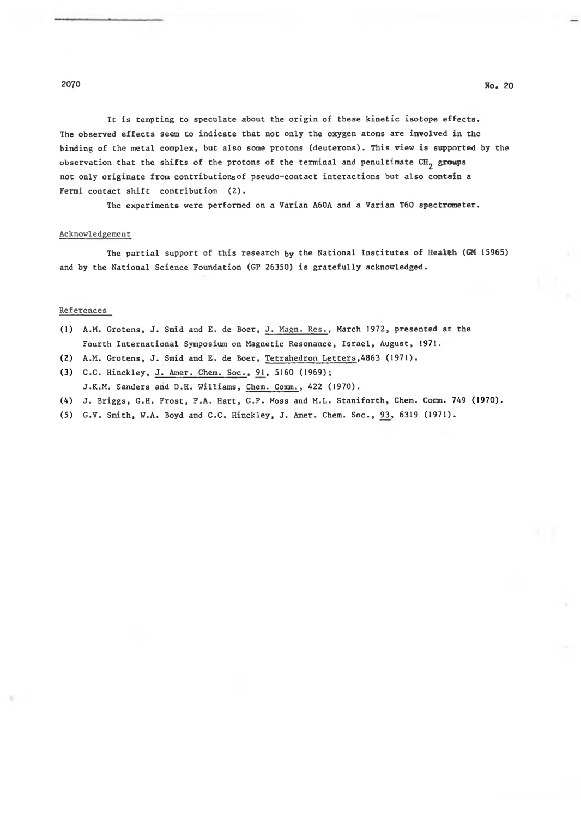It is tempting to speculate about the origin of these kinetic isotope effects. The observed effects seem to indicate that not only the oxygen atoms are involved in the binding of the metal complex, but also some protons (deuterons). This view is supported by the observation that the shifts of the protons of the terminal and penultimate CH<sub>2</sub> groups not only originate from contributions of pseudo-contact interactions but also contain a Fermi contact shift contribution  $(2)$ .

The experiments were performed on a Varian A60A and a Varian T60 spectrometer.

## Acknowledgement

The partial support of this research by the National Institutes of Health (GM 15965) and by the National Science Foundation (GP 26350) is gratefully acknowledged.

### References

- (1) A.M. Grotens, J. Smid and E. de Boer, J. Magn. Res., March 1972, presented at the Fourth International Symposium on Magnetic Resonance, Israel, August, 1971.
- (2) A.M. Grotens, J. Smid and E. de Boer, Tetrahedron Letters, 4863 (1971).
- (3) C.C. Hinckley, J. Amer. Chem. Soc., 91, 5160 (1969); J.K.M. Sanders and D.H. Williams, Chem. Comm., 422 (1970).
- (4) J. Briggs, G.H. Frost, F.A. Hart, G.P. Moss and M.L. Staniforth, Chem. Comm. 749 (1970).
- (5) G.V. Smith, W.A. Boyd and C.C. Hinckley, J. Amer. Chem. Soc., 93, 6319 (1971).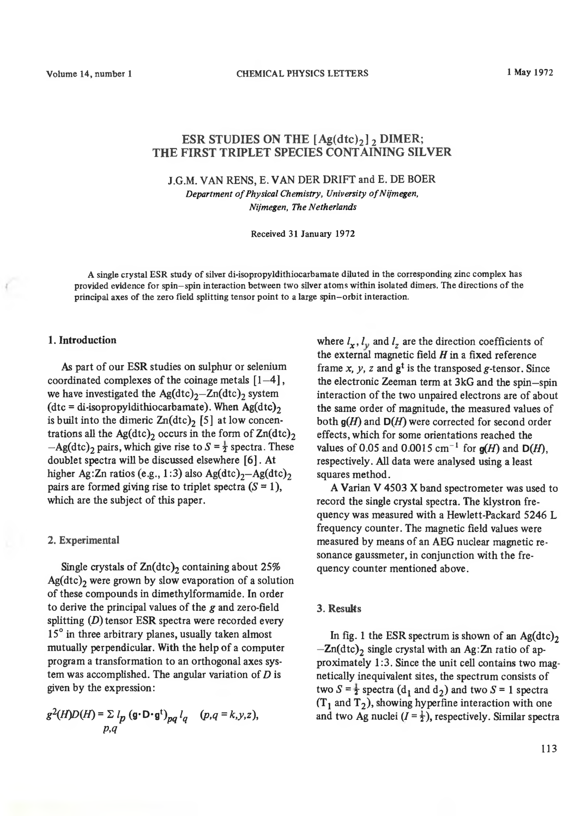# **ESR STUDIES ON THE**  $[Ag(dtc)_2]$ **, DIMER; THE FIRST TRIPLET SPECIES CONTAINING SILVER**

**J.G.M. VAN RENS,** E. **VAN DER DRIFT and E. DE BOER** *Department of Physical Chemistry, University of Nijmegen, Nijmegen, The Netherlands*

Received 31 January 1972

A single crystal ESR study of silver di-isopropyldithiocarbamate diluted in the corresponding zinc complex has provided evidence for spin-spin interaction between two silver atoms within isolated dimers. The directions of the principal axes of the zero field splitting tensor point to a large spin-orbit interaction.

# **1. Introduction**

**As part of our ESR studies on sulphur or selenium coordinated complexes of the coinage metals [1—4 ],** we have investigated the  $Ag(dtc)<sub>2</sub> - Zn(dtc)$  system  $(\text{dtc} = \text{di-isoprop widthicarbanate})$ . When Ag(dtc)<sub>2</sub> is built into the dimeric  $\text{Zn}(dt)$ <sub>2</sub> [5] at low concentrations all the Ag(dtc)<sub>2</sub> occurs in the form of  $Zn(dtc)$ <sub>2</sub>  $-A$  g(dtc)<sub>2</sub> pairs, which give rise to  $S = \frac{1}{2}$  spectra. These **doublet spectra will be discussed elsewhere [6]. At** higher Ag:Zn ratios (e.g., 1:3) also  $Ag(dtc)<sub>2</sub> - Ag(dtc)<sub>2</sub>$ pairs are formed giving rise to triplet spectra  $(S = 1)$ , **which are the subject of this paper.**

# **2. Experimental**

Single crystals of  $Zn(dtc)$ <sub>2</sub> containing about 25% Ag(dtc)<sub>2</sub> were grown by slow evaporation of a solution **of these compounds in dimethylformamide. In order to derive the principal values of the** *g* **and zero-field splitting (***D***) tensor ESR spectra were recorded every 15° in three arbitrary planes, usually taken almost mutually perpendicular. With the help of a computer program a transformation to an orthogonal axes system was accomplished. The angular variation of** *D* **is given by the expression:**

$$
g^{2}(H)D(H) = \sum l_{p} (\mathbf{g} \cdot \mathbf{D} \cdot \mathbf{g}^{t})_{pq} l_{q} \quad (p,q = k,y,z),
$$
  

$$
p,q
$$

where  $l_x$ ,  $l_y$  and  $l_z$  are the direction coefficients of **the external magnetic field** *H* **in a fïxed reference** frame *x*, *y*, *z* and  $g^t$  is the transposed *g*-tensor. Since **the electronic Zeeman term at 3kG and the spin—spin interaction of the two unpaired electrons are of about the same order of magnitude, the measured values of** both  $q(H)$  and  $D(H)$  were corrected for second order **effects, which for some orientations reached the values of 0.05 and 0.0015 cm<sup>-1</sup> for**  $g(H)$  **and**  $D(H)$ **. respectively. All data were analysed using a least squares method.**

**A Varian V 4503 X band spectrometer was used to record the single crystal spectra. The klystron frequency was measured with a Hewlett-Packard 5246 L frequency counter. The magnetic field values were measured by means of an AEG nuclear magnetic resonance gaussmeter, in conjunction with the frequency counter mentioned above.**

# **3. Resuks**

In fig. 1 the ESR spectrum is shown of an  $Ag(dtc)_{2}$  $-Zn(\text{dtc})_2$  single crystal with an Ag:Zn ratio of ap**proximately 1:3. Since the unit cell contains two magnetically inequivalent sites, the spectrum consists of** two  $S = \frac{1}{2}$  spectra (d<sub>1</sub> and d<sub>2</sub>) and two  $S = 1$  spectra  $(T_1$  and  $T_2$ ), showing hyperfine interaction with one and two Ag nuclei  $(I = \frac{1}{2})$ , respectively. Similar spectra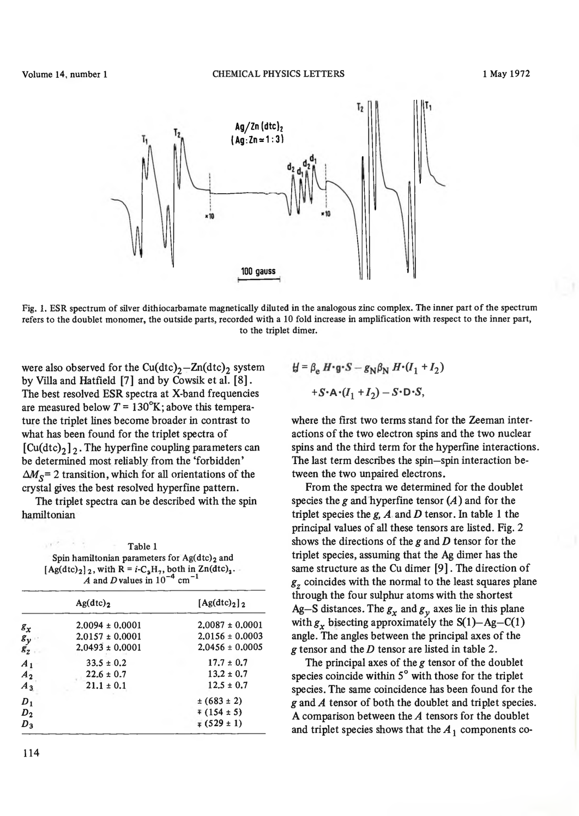

Fig. 1. ESR spectrum of silver dithiocarbamate magnetically diluted in the analogous zinc complex. The inner part of the spectrum refers to the doublet monomer, the outside parts, recorded with a 10 fold increase in amplification with respect to the inner part, to the triplet dimer.

were also observed for the  $Cu(dtc)<sub>2</sub> - Zn(dtc)<sub>2</sub>$  system **by Villa and Hatfield [7] and by Cowsik et al. [8]. The best resolved ESR spectra at X-band frequencies** are measured below  $T = 130^{\circ}$ K; above this tempera**ture the triplet lines become broader in contrast to what has been found for the triplet spectra of**  $\lceil \text{Cu(dtc)}_2 \rceil$ <sub>2</sub>. The hyperfine coupling parameters can **be determined most reliably from the 'forbidden'**  $\Delta M_{\rm s}$  = 2 transition, which for all orientations of the **crystal gives the best resolved hyperfine pattern.**

**The triplet spectra can be described with the spin hamiltonian**

Table 1 Spin hamiltonian parameters for Ag(dtc)<sub>2</sub> and  $[Ag(dtc)<sub>2</sub>]$ , with  $R = i-C<sub>3</sub>H<sub>7</sub>$ , both in Zn(dtc)<sub>2</sub>. *A* and *D* values in  $10^{-4}$  cm<sup>-1</sup>

|                | Ag(dtc) <sub>2</sub> | $[Ag(dtc)2]$ <sub>2</sub> |
|----------------|----------------------|---------------------------|
| $g_{\chi}$     | $2.0094 \pm 0.0001$  | $2.0087 \pm 0.0001$       |
| $s_{y}$        | $2.0157 \pm 0.0001$  | $2.0156 \pm 0.0003$       |
| $g_{2}$        | $2.0493 \pm 0.0001$  | $2.0456 \pm 0.0005$       |
| $A_1$          | $33.5 \pm 0.2$       | $17.7 \pm 0.7$            |
| A <sub>2</sub> | $22.6 \pm 0.7$       | $13.2 \pm 0.7$            |
| $A_3$          | $21.1 \pm 0.1$       | $12.5 \pm 0.7$            |
| $D_1$          |                      | $\pm (683 \pm 2)$         |
| $D_2$          |                      | $\sqrt{154} \pm 5$        |
| $D_3$          |                      | $\sqrt{529} \pm 1$        |
|                |                      |                           |

$$
\mathcal{H} = \beta_e H \cdot g \cdot S - g_N \beta_N H \cdot (I_1 + I_2)
$$

$$
+ S \cdot A \cdot (I_1 + I_2) - S \cdot D \cdot S,
$$

**where the first two terms stand for the Zeeman interactions of the two electron spins and the two nuclear spins and the third term for the hyperfine interactions. The last term describes the spin—spin interaction between the two unpaired electrons.**

**From the spectra we determined for the doublet species the** *g* **and hyperfine tensor (***A***) and for the triplet species the** *g, A* **and** *D* **tensor. In table 1 the principal values of all these tensors are listed. Fig. 2 shows the directions of the** *g* **and** *D* **tensor for the triplet species, assuming that the Ag dimer has the same structure as the Cu dimer [9]. The direction of** *gz* **coincides with the normal to the least squares plane through the four sulphur atoms with the shortest** Ag-S distances. The  $g_x$  and  $g_y$  axes lie in this plane with  $g_x$  bisecting approximately the  $S(1)$ —Ag—C(1) **angle. The angles between the principal axes of the** *g* **tensor and the** *D* **tensor are listed in table 2.**

**The principal axes of the** *g* **tensor of the doublet species coincide within 5° with those for the triplet species. The same coincidence has been found for the** *g* **and** *A* **tensor of both the doublet and triplet species. A comparison between the** *A* **tensors for the doublet** and triplet species shows that the  $A_1$  components co-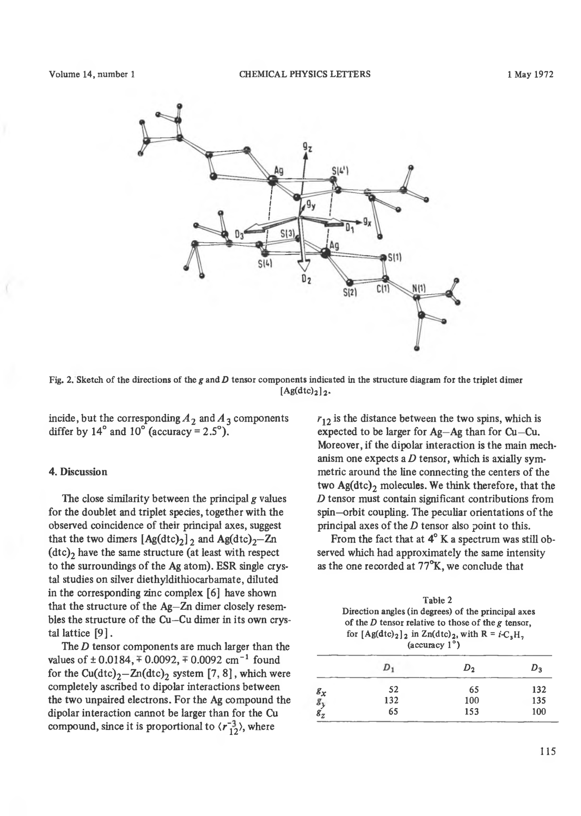

Fig. 2. Sketch of the directions of the *g* and *D* tensor components indicated in the structure diagram for the triplet dimer  $[Ag(dtc)<sub>2</sub>]$ <sub>2</sub>.

incide, but the corresponding  $A_2$  and  $A_3$  components **differ by 14° and 10° (accuracy = 2.5°).**

# **4. Discussion**

**The close similarity between the principal** *g* **values for the doublet and triplet species, together with the observed coincidence of their principal axes, suggest** that the two dimers  $[Ag(dtc)_2]_2$  and  $Ag(dtc)_2$ —Zn (dtc)<sub>2</sub> have the same structure (at least with respect **to the surroundings of the Ag atom). ESR single crystal studies on silver diethyldithiocarbamate, diluted in the corresponding zinc complex [6] have shown that the structure of the Ag—Zn dimer closely resem**bles the structure of the Cu-Cu dimer in its own crys**tai lattice [9].**

**The** *D* **tensor components are much larger than the** values of  $\pm 0.0184$ ,  $\mp 0.0092$ ,  $\mp 0.0092$  cm<sup>-1</sup> found for the  $Cu(dtc)<sub>2</sub>$ – $Zn(dtc)<sub>2</sub>$  system [7, 8], which were **completely ascribed to dipolar interactions between the two unpaired electrons. For the Ag compound the dipolar interaction cannot be larger than for the Cu compound, since it is proportional to**  $\langle r_{12}^{-3} \rangle$ **, where** 

**/■j**2 **is the distance between the two spins, which is expected to be larger for Ag—Ag than for Cu—Cu. Moreover, if the dipolar interaction is the main mechanism one expects a** *D* **tensor, which is axially symmetrie around the line connecting the centers of the** two Ag(dtc)<sub>2</sub> molecules. We think therefore, that the *D* **tensor must contain significant contributions from** spin—orbit coupling. The peculiar orientations of the **principal axes of the** *D* **tensor also point to this.**

**From the fact that at 4° K a spectrum was still observed which had approximately the same intensity as the one recorded at 77°K, we conclude that**

|                         | Table 2<br>Direction angles (in degrees) of the principal axes<br>of the $D$ tensor relative to those of the $g$ tensor,<br>for $[Ag(dtc)2]$ in $Zn(dtc)2$ , with $R = i-CaHa$<br>$(\text{accuracy } 1^{\circ})$ |     |     |  |
|-------------------------|------------------------------------------------------------------------------------------------------------------------------------------------------------------------------------------------------------------|-----|-----|--|
|                         |                                                                                                                                                                                                                  | υ,  |     |  |
|                         | 52                                                                                                                                                                                                               | 65  | 132 |  |
|                         | 132                                                                                                                                                                                                              | 100 | 135 |  |
| $g_x$<br>$g_y$<br>$g_z$ | 65                                                                                                                                                                                                               | 153 | 100 |  |